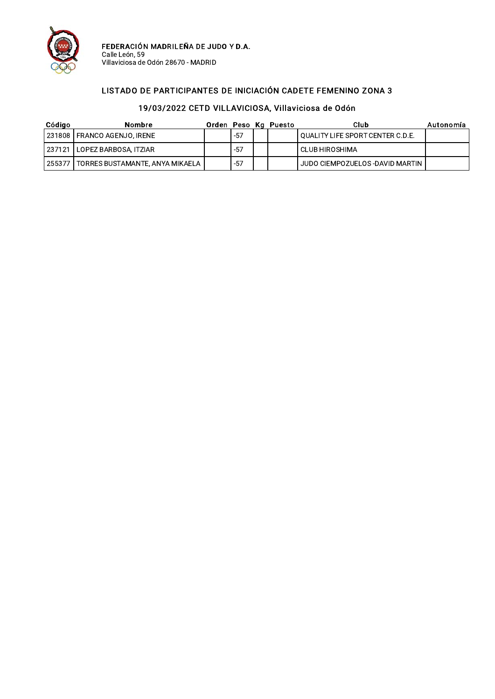

### LISTADO DE PARTICIPANTES DE INICIACIÓN CADETE FEMENINO ZONA 3

| Código | Nombre                          |       | Orden Peso Kg Puesto | Club                               | Autonomía |
|--------|---------------------------------|-------|----------------------|------------------------------------|-----------|
|        | 231808 FRANCO AGENJO, IRENE     | $-57$ |                      | ! QUALITY LIFE SPORT CENTER C.D.E. |           |
|        | 237121   LOPEZ BARBOSA, ITZIAR  | $-57$ |                      | CLUB HIROSHIMA                     |           |
| 255377 | TORRES BUSTAMANTE, ANYA MIKAELA | $-57$ |                      | JUDO CIEMPOZUELOS-DAVID MARTIN I   |           |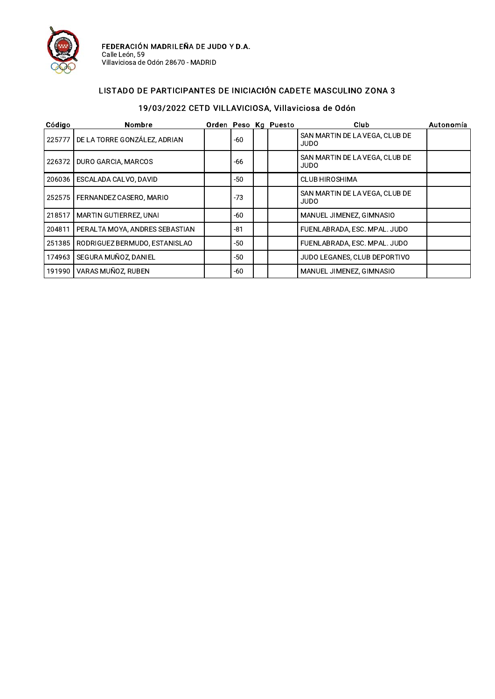

### LISTADO DE PARTICIPANTES DE INICIACIÓN CADETE MASCULINO ZONA 3

| Código | <b>Nombre</b>                  |       | Orden Peso Kg Puesto | Club                                          | Autonomía |
|--------|--------------------------------|-------|----------------------|-----------------------------------------------|-----------|
| 225777 | DE LA TORRE GONZÁLEZ, ADRIAN   | -60   |                      | SAN MARTIN DE LA VEGA, CLUB DE<br>JUDO        |           |
| 226372 | DURO GARCIA, MARCOS            | -66   |                      | SAN MARTIN DE LA VEGA, CLUB DE<br>OQUL        |           |
| 206036 | ESCALADA CALVO, DAVID          | -50   |                      | <b>CLUB HIROSHIMA</b>                         |           |
| 252575 | FERNANDEZ CASERO. MARIO        | $-73$ |                      | SAN MARTIN DE LA VEGA. CLUB DE<br><b>JUDO</b> |           |
| 218517 | <b>MARTIN GUTIERREZ, UNAI</b>  | -60   |                      | MANUEL JIMENEZ, GIMNASIO                      |           |
| 204811 | PERALTA MOYA, ANDRES SEBASTIAN | $-81$ |                      | FUENLABRADA, ESC. MPAL. JUDO                  |           |
| 251385 | RODRIGUEZ BERMUDO, ESTANISLAO  | -50   |                      | FUENLABRADA, ESC. MPAL. JUDO                  |           |
| 174963 | SEGURA MUÑOZ, DANIEL           | -50   |                      | JUDO LEGANES, CLUB DEPORTIVO                  |           |
| 191990 | VARAS MUÑOZ, RUBEN             | -60   |                      | MANUEL JIMENEZ, GIMNASIO                      |           |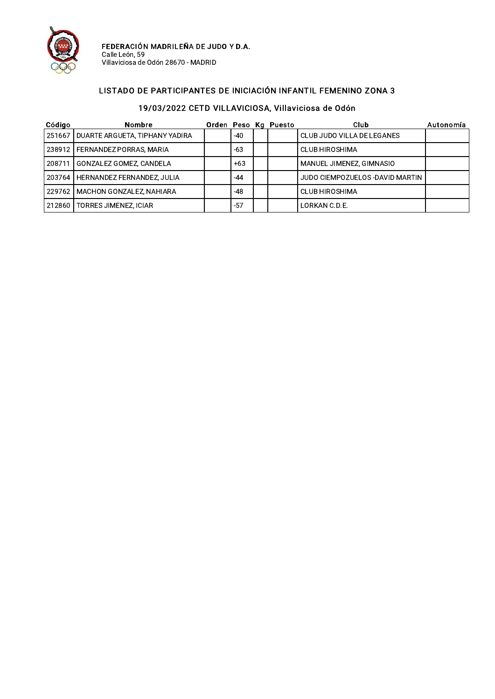

### LISTADO DE PARTICIPANTES DE INICIACIÓN INFANTIL FEMENINO ZONA 3

| Código | <b>Nombre</b>                       |       | Orden Peso Kg Puesto | Club                             | Autonomía |
|--------|-------------------------------------|-------|----------------------|----------------------------------|-----------|
| 251667 | DUARTE ARGUETA, TIPHANY YADIRA      | -40   |                      | CLUB JUDO VILLA DE LEGANES       |           |
|        | 238912   FERNANDEZ PORRAS, MARIA    | -63   |                      | <b>CLUB HIROSHIMA</b>            |           |
| 208711 | GONZALEZ GOMEZ, CANDELA             | $+63$ |                      | MANUEL JIMENEZ, GIMNASIO         |           |
|        | 203764   HERNANDEZ FERNANDEZ, JULIA | -44   |                      | JUDO CIEMPOZUELOS - DAVID MARTIN |           |
|        | 229762   MACHON GONZALEZ, NAHIARA   | -48   |                      | CLUB HIROSHIMA                   |           |
|        | 212860   TORRES JIMENEZ, ICIAR      | $-57$ |                      | LORKAN C.D.E.                    |           |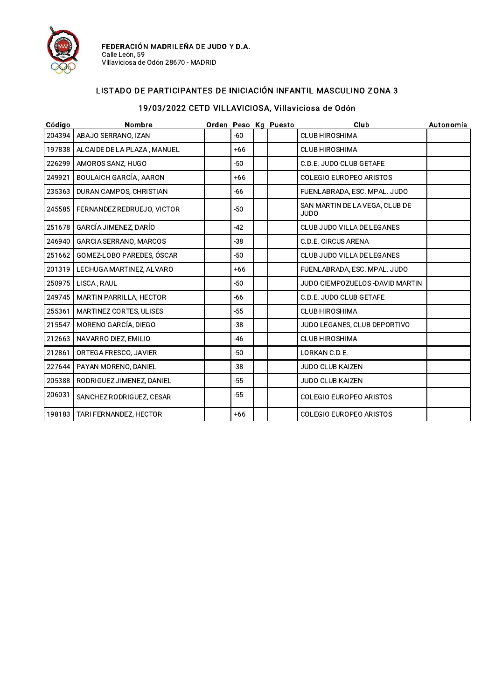

### LISTADO DE PARTICIPANTES DE INICIACIÓN INFANTIL MASCULINO ZONA 3

| Código | Nombre                         |       | Orden Peso Kg Puesto | Club                                          | Autonomía |
|--------|--------------------------------|-------|----------------------|-----------------------------------------------|-----------|
| 204394 | ABAJO SERRANO, IZAN            | -60   |                      | <b>CLUB HIROSHIMA</b>                         |           |
| 197838 | ALCAIDE DE LA PLAZA, MANUEL    | $+66$ |                      | <b>CLUB HIROSHIMA</b>                         |           |
| 226299 | AMOROS SANZ, HUGO              | -50   |                      | C.D.E. JUDO CLUB GETAFE                       |           |
| 249921 | BOULAICH GARCÍA, AARON         | $+66$ |                      | COLEGIO EUROPEO ARISTOS                       |           |
| 235363 | DURAN CAMPOS, CHRISTIAN        | -66   |                      | FUENLABRADA, ESC. MPAL. JUDO                  |           |
| 245585 | FERNANDEZ REDRUEJO, VICTOR     | $-50$ |                      | SAN MARTIN DE LA VEGA, CLUB DE<br><b>JUDO</b> |           |
| 251678 | GARCÍA JIMENEZ, DARÍO          | $-42$ |                      | CLUB JUDO VILLA DE LEGANES                    |           |
| 246940 | GARCIA SERRANO, MARCOS         | $-38$ |                      | C.D.E. CIRCUS ARENA                           |           |
| 251662 | GOMEZ-LOBO PAREDES, ÓSCAR      | -50   |                      | CLUB JUDO VILLA DE LEGANES                    |           |
| 201319 | LECHUGA MARTINEZ, ALVARO       | $+66$ |                      | FUENLABRADA, ESC. MPAL. JUDO                  |           |
| 250975 | LISCA, RAUL                    | -50   |                      | JUDO CIEMPOZUELOS-DAVID MARTIN                |           |
| 249745 | <b>MARTIN PARRILLA, HECTOR</b> | -66   |                      | C.D.E. JUDO CLUB GETAFE                       |           |
| 255361 | MARTINEZ CORTES, ULISES        | $-55$ |                      | <b>CLUB HIROSHIMA</b>                         |           |
| 215547 | MORENO GARCÍA, DIEGO           | $-38$ |                      | JUDO LEGANES, CLUB DEPORTIVO                  |           |
| 212663 | NAVARRO DIEZ, EMILIO           | $-46$ |                      | <b>CLUB HIROSHIMA</b>                         |           |
| 212861 | ORTEGA FRESCO, JAVIER          | $-50$ |                      | LORKAN C.D.E.                                 |           |
| 227644 | PAYAN MORENO, DANIEL           | -38   |                      | <b>JUDO CLUB KAIZEN</b>                       |           |
| 205388 | RODRIGUEZ JIMENEZ, DANIEL      | $-55$ |                      | JUDO CLUB KAIZEN                              |           |
| 206031 | SANCHEZ RODRIGUEZ, CESAR       | $-55$ |                      | <b>COLEGIO EUROPEO ARISTOS</b>                |           |
| 198183 | TARI FERNANDEZ, HECTOR         | $+66$ |                      | <b>COLEGIO EUROPEO ARISTOS</b>                |           |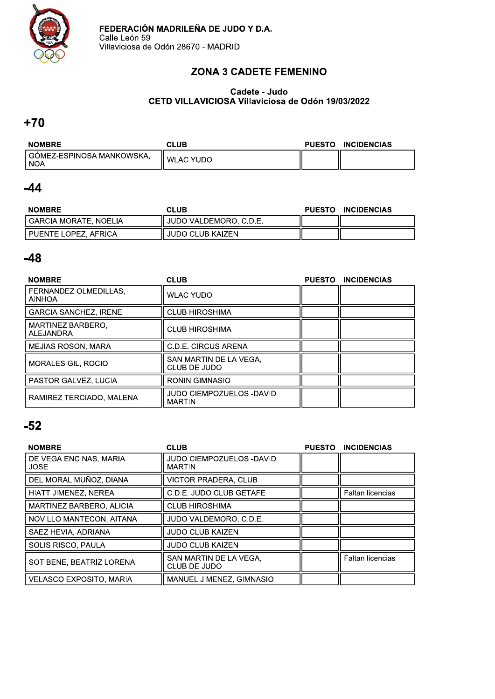

### **ZONA 3 CADETE FEMENINO**

#### Cadete - Judo CETD VILLAVICIOSA Villaviciosa de Odón 19/03/2022

### $+70$

| <b>NOMBRE</b>                        | CLUB             | <b>PUESTO</b> | <b>INCIDENCIAS</b> |
|--------------------------------------|------------------|---------------|--------------------|
| i GOMEZ-ESPINOSA MANKOWSKA.<br>` NOA | <b>WLAC YUDO</b> |               |                    |

### $-44$

| <b>NOMBRE</b>          | <b>CLUB</b>             | <b>PUESTO</b> | <b>INCIDENCIAS</b> |
|------------------------|-------------------------|---------------|--------------------|
| GARCIA MORATE, NOELIA  | JUDO VALDEMORO, C.D.E.  |               |                    |
| l PUENTE LOPEZ. AFRICA | <b>JUDO CLUB KAIZEN</b> |               |                    |

## $-48$

| <b>NOMBRE</b>                          | <b>CLUB</b>                               | <b>PUESTO</b> | <b>INCIDENCIAS</b> |
|----------------------------------------|-------------------------------------------|---------------|--------------------|
| FERNANDEZ OLMEDILLAS.<br><b>AINHOA</b> | <b>WLAC YUDO</b>                          |               |                    |
| <b>GARCIA SANCHEZ, IRENE</b>           | <b>CLUB HIROSHIMA</b>                     |               |                    |
| MARTINEZ BARBERO.<br>ALEJANDRA         | <b>CLUB HIROSHIMA</b>                     |               |                    |
| <b>MEJIAS ROSON, MARA</b>              | C.D.E. CIRCUS ARENA                       |               |                    |
| <b>MORALES GIL, ROCIO</b>              | SAN MARTIN DE LA VEGA.<br>CLUB DE JUDO    |               |                    |
| PASTOR GALVEZ, LUCIA                   | RONIN GIMNASIO                            |               |                    |
| RAMIREZ TERCIADO, MALENA               | JUDO CIEMPOZUELOS -DAVID<br><b>MARTIN</b> |               |                    |

| <b>NOMBRE</b>                         | <b>CLUB</b>                               | <b>PUESTO</b> | <b>INCIDENCIAS</b>      |
|---------------------------------------|-------------------------------------------|---------------|-------------------------|
| DE VEGA ENCINAS, MARIA<br><b>JOSE</b> | JUDO CIEMPOZUELOS -DAVID<br><b>MARTIN</b> |               |                         |
| DEL MORAL MUÑOZ, DIANA                | VICTOR PRADERA, CLUB                      |               |                         |
| HIATT JIMENEZ, NEREA                  | C.D.E. JUDO CLUB GETAFE                   |               | <b>Faltan licencias</b> |
| MARTINEZ BARBERO, ALICIA              | <b>CLUB HIROSHIMA</b>                     |               |                         |
| NOVILLO MANTECON, AITANA              | JUDO VALDEMORO. C.D.E.                    |               |                         |
| SAEZ HEVIA, ADRIANA                   | JUDO CLUB KAIZEN                          |               |                         |
| <b>SOLIS RISCO, PAULA</b>             | <b>JUDO CLUB KAIZEN</b>                   |               |                         |
| SOT BENE, BEATRIZ LORENA              | SAN MARTIN DE LA VEGA.<br>CLUB DE JUDO    |               | <b>Faltan licencias</b> |
| <b>VELASCO EXPOSITO, MARIA</b>        | MANUEL JIMENEZ, GIMNASIO                  |               |                         |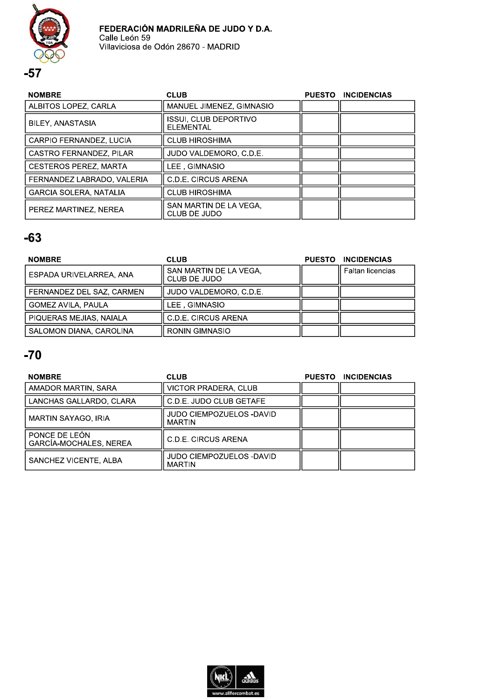

| <b>NOMBRE</b>                 | <b>CLUB</b>                               | PUESTO INCIDENCIAS |
|-------------------------------|-------------------------------------------|--------------------|
| ALBITOS LOPEZ, CARLA          | MANUEL JIMENEZ, GIMNASIO                  |                    |
| BILEY, ANASTASIA              | <b>ISSUI, CLUB DEPORTIVO</b><br>ELEMENTAL |                    |
| CARPIO FERNANDEZ, LUCIA       | <b>CLUB HIROSHIMA</b>                     |                    |
| CASTRO FERNANDEZ, PILAR       | JUDO VALDEMORO, C.D.E.                    |                    |
| <b>CESTEROS PEREZ, MARTA</b>  | LEE , GIMNASIO                            |                    |
| FERNANDEZ LABRADO, VALERIA    | C.D.E. CIRCUS ARENA                       |                    |
| <b>GARCIA SOLERA, NATALIA</b> | <b>CLUB HIROSHIMA</b>                     |                    |
| PEREZ MARTINEZ, NEREA         | SAN MARTIN DE LA VEGA,<br>CLUB DE JUDO    |                    |

# $-63$

| <b>NOMBRE</b>             | <b>CLUB</b>                            | <b>PUESTO</b> | <b>INCIDENCIAS</b> |
|---------------------------|----------------------------------------|---------------|--------------------|
| ESPADA URIVELARREA, ANA   | SAN MARTIN DE LA VEGA,<br>CLUB DE JUDO |               | Faltan licencias   |
| FERNANDEZ DEL SAZ, CARMEN | JUDO VALDEMORO, C.D.E.                 |               |                    |
| <b>GOMEZ AVILA, PAULA</b> | LEE. GIMNASIO                          |               |                    |
| PIQUERAS MEJIAS, NAIALA   | C.D.E. CIRCUS ARENA                    |               |                    |
| SALOMON DIANA, CAROLINA   | <b>RONIN GIMNASIO</b>                  |               |                    |

| <b>NOMBRE</b>                           | <b>CLUB</b>                               | <b>PUESTO</b> | <b>INCIDENCIAS</b> |
|-----------------------------------------|-------------------------------------------|---------------|--------------------|
| AMADOR MARTIN, SARA                     | <b>VICTOR PRADERA, CLUB</b>               |               |                    |
| LANCHAS GALLARDO, CLARA                 | C.D.E. JUDO CLUB GETAFE                   |               |                    |
| MARTIN SAYAGO, IRIA                     | JUDO CIEMPOZUELOS -DAVID<br><b>MARTIN</b> |               |                    |
| PONCE DE LEÓN<br>GARCÍA-MOCHALES, NEREA | C.D.E. CIRCUS ARENA                       |               |                    |
| SANCHEZ VICENTE, ALBA                   | JUDO CIEMPOZUELOS -DAVID<br><b>MARTIN</b> |               |                    |

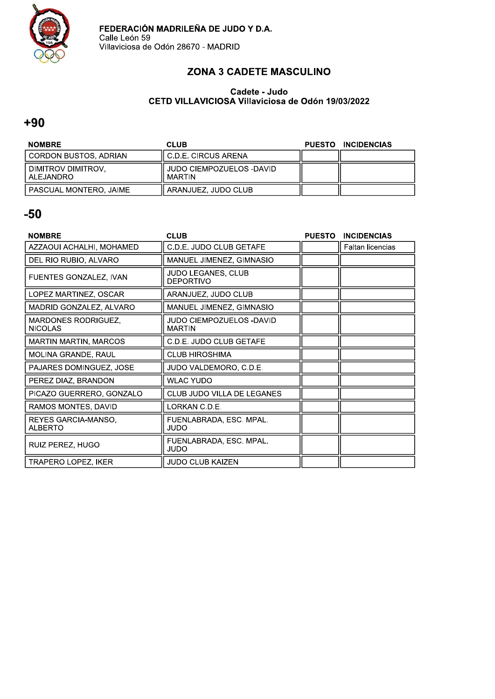

### **ZONA 3 CADETE MASCULINO**

#### Cadete - Judo CETD VILLAVICIOSA Villaviciosa de Odón 19/03/2022

### $+90$

| <b>NOMBRE</b>                   | <b>CLUB</b>                          | PUESTO INCIDENCIAS |
|---------------------------------|--------------------------------------|--------------------|
| I CORDON BUSTOS. ADRIAN         | l C.D.E. CIRCUS ARENA                |                    |
| DIMITROV DIMITROV.<br>ALEJANDRO | l JUDO CIEMPOZUELOS -DAVID<br>MARTIN |                    |
| I PASCUAL MONTERO. JAIME        | ARANJUEZ, JUDO CLUB                  |                    |

| <b>NOMBRE</b>                                | <b>CLUB</b>                                      | <b>PUESTO</b> | <b>INCIDENCIAS</b>      |
|----------------------------------------------|--------------------------------------------------|---------------|-------------------------|
| AZZAOUI ACHALHI, MOHAMED                     | C.D.E. JUDO CLUB GETAFE                          |               | <b>Faltan licencias</b> |
| DEL RIO RUBIO, ALVARO                        | MANUEL JIMENEZ, GIMNASIO                         |               |                         |
| FUENTES GONZALEZ, IVAN                       | JUDO LEGANES, CLUB<br><b>DEPORTIVO</b>           |               |                         |
| LOPEZ MARTINEZ, OSCAR                        | ARANJUEZ, JUDO CLUB                              |               |                         |
| MADRID GONZALEZ, ALVARO                      | MANUEL JIMENEZ, GIMNASIO                         |               |                         |
| <b>MARDONES RODRIGUEZ,</b><br><b>NICOLAS</b> | <b>JUDO CIEMPOZUELOS -DAVID</b><br><b>MARTIN</b> |               |                         |
| <b>MARTIN MARTIN, MARCOS</b>                 | C.D.E. JUDO CLUB GETAFE                          |               |                         |
| <b>MOLINA GRANDE, RAUL</b>                   | <b>CLUB HIROSHIMA</b>                            |               |                         |
| PAJARES DOMINGUEZ, JOSE                      | JUDO VALDEMORO, C.D.E.                           |               |                         |
| PEREZ DIAZ, BRANDON                          | <b>WLAC YUDO</b>                                 |               |                         |
| PICAZO GUERRERO, GONZALO                     | CLUB JUDO VILLA DE LEGANES                       |               |                         |
| RAMOS MONTES, DAVID                          | LORKAN C.D.E.                                    |               |                         |
| REYES GARCIA-MANSO,<br><b>ALBERTO</b>        | FUENLABRADA, ESC. MPAL.<br>JUDO                  |               |                         |
| RUIZ PEREZ, HUGO                             | FUENLABRADA, ESC. MPAL.<br>JUDO                  |               |                         |
| <b>TRAPERO LOPEZ, IKER</b>                   | <b>JUDO CLUB KAIZEN</b>                          |               |                         |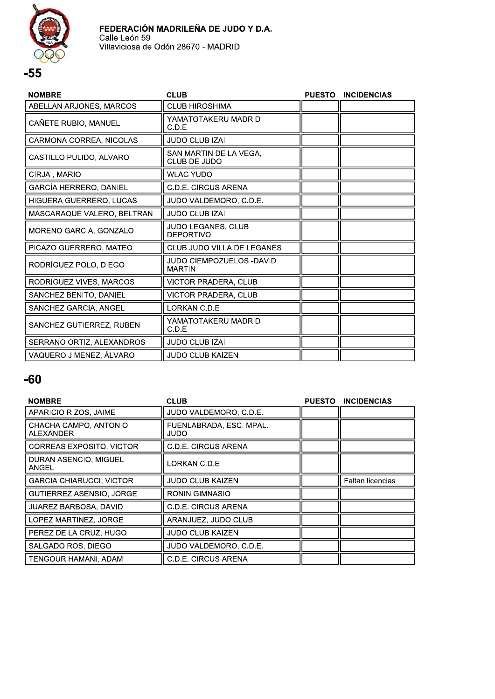

| <b>NOMBRE</b>              | <b>CLUB</b>                               | <b>PUESTO</b> | <b>INCIDENCIAS</b> |
|----------------------------|-------------------------------------------|---------------|--------------------|
| ABELLAN ARJONES, MARCOS    | <b>CLUB HIROSHIMA</b>                     |               |                    |
| CAÑETE RUBIO, MANUEL       | YAMATOTAKERU MADRID<br>C.D.E              |               |                    |
| CARMONA CORREA, NICOLAS    | <b>JUDO CLUB IZAI</b>                     |               |                    |
| CASTILLO PULIDO, ALVARO    | SAN MARTIN DE LA VEGA,<br>CLUB DE JUDO    |               |                    |
| CIRJA, MARIO               | <b>WLAC YUDO</b>                          |               |                    |
| GARCÍA HERRERO, DANIEL     | <b>C.D.E. CIRCUS ARENA</b>                |               |                    |
| HIGUERA GUERRERO, LUCAS    | JUDO VALDEMORO, C.D.E.                    |               |                    |
| MASCARAQUE VALERO, BELTRAN | <b>JUDO CLUB IZAI</b>                     |               |                    |
| MORENO GARCIA, GONZALO     | JUDO LEGANES, CLUB<br><b>DEPORTIVO</b>    |               |                    |
| PICAZO GUERRERO, MATEO     | CLUB JUDO VILLA DE LEGANES                |               |                    |
| RODRÍGUEZ POLO, DIEGO      | JUDO CIEMPOZUELOS -DAVID<br><b>MARTIN</b> |               |                    |
| RODRIGUEZ VIVES, MARCOS    | VICTOR PRADERA, CLUB                      |               |                    |
| SANCHEZ BENITO, DANIEL     | <b>VICTOR PRADERA, CLUB</b>               |               |                    |
| SANCHEZ GARCIA, ANGEL      | LORKAN C.D.E.                             |               |                    |
| SANCHEZ GUTIERREZ, RUBEN   | YAMATOTAKERU MADRID<br>C.D.E              |               |                    |
| SERRANO ORTIZ, ALEXANDROS  | <b>JUDO CLUB IZAI</b>                     |               |                    |
| VAQUERO JIMENEZ, ÁLVARO    | <b>JUDO CLUB KAIZEN</b>                   |               |                    |

| <b>NOMBRE</b>                      | <b>CLUB</b>                     | <b>PUESTO</b> | <b>INCIDENCIAS</b> |
|------------------------------------|---------------------------------|---------------|--------------------|
| APARICIO RIZOS, JAIME              | JUDO VALDEMORO, C.D.E.          |               |                    |
| CHACHA CAMPO, ANTONIO<br>ALEXANDER | FUENLABRADA, ESC. MPAL.<br>JUDO |               |                    |
| CORREAS EXPOSITO, VICTOR           | C.D.E. CIRCUS ARENA             |               |                    |
| DURAN ASENCIO, MIGUEL<br>ANGEL     | LORKAN C.D.E.                   |               |                    |
| <b>GARCIA CHIARUCCI, VICTOR</b>    | JUDO CLUB KAIZEN                |               | Faltan licencias   |
| <b>GUTIERREZ ASENSIO, JORGE</b>    | RONIN GIMNASIO                  |               |                    |
| JUAREZ BARBOSA. DAVID              | <b>C.D.E. CIRCUS ARENA</b>      |               |                    |
| LOPEZ MARTINEZ, JORGE              | ARANJUEZ, JUDO CLUB             |               |                    |
| PEREZ DE LA CRUZ, HUGO             | <b>JUDO CLUB KAIZEN</b>         |               |                    |
| SALGADO ROS, DIEGO                 | JUDO VALDEMORO, C.D.E.          |               |                    |
| TENGOUR HAMANI, ADAM               | C.D.E. CIRCUS ARENA             |               |                    |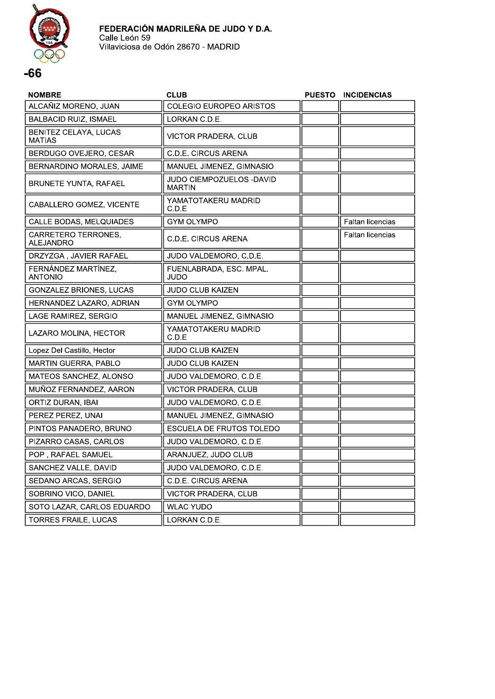

| <b>NOMBRE</b>                           | <b>CLUB</b>                               | <b>PUESTO</b> | <b>INCIDENCIAS</b>      |
|-----------------------------------------|-------------------------------------------|---------------|-------------------------|
| ALCAÑIZ MORENO, JUAN                    | <b>COLEGIO EUROPEO ARISTOS</b>            |               |                         |
| <b>BALBACID RUIZ, ISMAEL</b>            | LORKAN C.D.E.                             |               |                         |
| BENITEZ CELAYA, LUCAS<br><b>MATIAS</b>  | <b>VICTOR PRADERA, CLUB</b>               |               |                         |
| BERDUGO OVEJERO, CESAR                  | <b>C.D.E. CIRCUS ARENA</b>                |               |                         |
| BERNARDINO MORALES, JAIME               | MANUEL JIMENEZ, GIMNASIO                  |               |                         |
| <b>BRUNETE YUNTA, RAFAEL</b>            | JUDO CIEMPOZUELOS -DAVID<br><b>MARTIN</b> |               |                         |
| CABALLERO GOMEZ, VICENTE                | YAMATOTAKERU MADRID<br>C.D.E              |               |                         |
| CALLE BODAS, MELQUIADES                 | <b>GYM OLYMPO</b>                         |               | Faltan licencias        |
| CARRETERO TERRONES,<br><b>ALEJANDRO</b> | <b>C.D.E. CIRCUS ARENA</b>                |               | <b>Faltan licencias</b> |
| DRZYZGA, JAVIER RAFAEL                  | JUDO VALDEMORO, C.D.E.                    |               |                         |
| FERNÁNDEZ MARTÍNEZ.<br><b>ANTONIO</b>   | FUENLABRADA, ESC. MPAL.<br>JUDO           |               |                         |
| <b>GONZALEZ BRIONES, LUCAS</b>          | <b>JUDO CLUB KAIZEN</b>                   |               |                         |
| HERNANDEZ LAZARO, ADRIAN                | <b>GYM OLYMPO</b>                         |               |                         |
| LAGE RAMIREZ, SERGIO                    | MANUEL JIMENEZ, GIMNASIO                  |               |                         |
| LAZARO MOLINA, HECTOR                   | YAMATOTAKERU MADRID<br>C.D.E              |               |                         |
| Lopez Del Castillo, Hector              | <b>JUDO CLUB KAIZEN</b>                   |               |                         |
| <b>MARTIN GUERRA, PABLO</b>             | <b>JUDO CLUB KAIZEN</b>                   |               |                         |
| MATEOS SANCHEZ, ALONSO                  | JUDO VALDEMORO, C.D.E.                    |               |                         |
| MUÑOZ FERNANDEZ, AARON                  | VICTOR PRADERA, CLUB                      |               |                         |
| ORTIZ DURAN, IBAI                       | JUDO VALDEMORO, C.D.E.                    |               |                         |
| PEREZ PEREZ, UNAI                       | MANUEL JIMENEZ, GIMNASIO                  |               |                         |
| PINTOS PANADERO, BRUNO                  | <b>ESCUELA DE FRUTOS TOLEDO</b>           |               |                         |
| PIZARRO CASAS, CARLOS                   | JUDO VALDEMORO, C.D.E.                    |               |                         |
| POP, RAFAEL SAMUEL                      | ARANJUEZ, JUDO CLUB                       |               |                         |
| SANCHEZ VALLE, DAVID                    | JUDO VALDEMORO, C.D.E.                    |               |                         |
| SEDANO ARCAS, SERGIO                    | <b>C.D.E. CIRCUS ARENA</b>                |               |                         |
| SOBRINO VICO, DANIEL                    | VICTOR PRADERA, CLUB                      |               |                         |
| SOTO LAZAR, CARLOS EDUARDO              | <b>WLAC YUDO</b>                          |               |                         |
| <b>TORRES FRAILE, LUCAS</b>             | LORKAN C.D.E.                             |               |                         |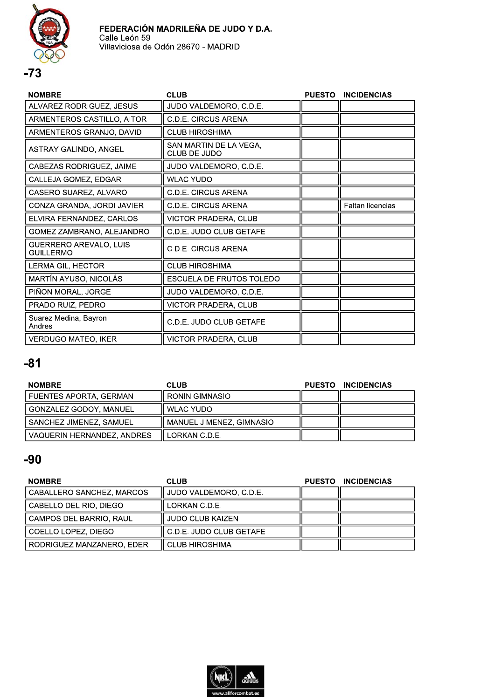



| <b>NOMBRE</b>                              | <b>CLUB</b>                            | <b>PUESTO</b> | <b>INCIDENCIAS</b>      |
|--------------------------------------------|----------------------------------------|---------------|-------------------------|
| ALVAREZ RODRIGUEZ, JESUS                   | JUDO VALDEMORO, C.D.E.                 |               |                         |
| ARMENTEROS CASTILLO, AITOR                 | C.D.E. CIRCUS ARENA                    |               |                         |
| ARMENTEROS GRANJO, DAVID                   | <b>CLUB HIROSHIMA</b>                  |               |                         |
| ASTRAY GALINDO, ANGEL                      | SAN MARTIN DE LA VEGA,<br>CLUB DE JUDO |               |                         |
| CABEZAS RODRIGUEZ, JAIME                   | JUDO VALDEMORO, C.D.E.                 |               |                         |
| CALLEJA GOMEZ, EDGAR                       | <b>WLAC YUDO</b>                       |               |                         |
| CASERO SUAREZ, ALVARO                      | C.D.E. CIRCUS ARENA                    |               |                         |
| CONZA GRANDA, JORDI JAVIER                 | <b>C.D.E. CIRCUS ARENA</b>             |               | <b>Faltan licencias</b> |
| ELVIRA FERNANDEZ, CARLOS                   | VICTOR PRADERA, CLUB                   |               |                         |
| GOMEZ ZAMBRANO, ALEJANDRO                  | C.D.E. JUDO CLUB GETAFE                |               |                         |
| GUERRERO AREVALO, LUIS<br><b>GUILLERMO</b> | <b>C.D.E. CIRCUS ARENA</b>             |               |                         |
| LERMA GIL, HECTOR                          | <b>CLUB HIROSHIMA</b>                  |               |                         |
| MARTÍN AYUSO, NICOLÁS                      | <b>ESCUELA DE FRUTOS TOLEDO</b>        |               |                         |
| PIÑON MORAL, JORGE                         | JUDO VALDEMORO, C.D.E.                 |               |                         |
| PRADO RUIZ, PEDRO                          | VICTOR PRADERA, CLUB                   |               |                         |
| Suarez Medina, Bayron<br>Andres            | C.D.E. JUDO CLUB GETAFE                |               |                         |
| <b>VERDUGO MATEO, IKER</b>                 | VICTOR PRADERA, CLUB                   |               |                         |

| <b>NOMBRE</b>                 | <b>CLUB</b>              | <b>PUESTO</b> | <b>INCIDENCIAS</b> |
|-------------------------------|--------------------------|---------------|--------------------|
| <b>FUENTES APORTA, GERMAN</b> | <b>RONIN GIMNASIO</b>    |               |                    |
| GONZALEZ GODOY, MANUEL        | WLAC YUDO                |               |                    |
| SANCHEZ JIMENEZ, SAMUEL       | MANUEL JIMENEZ, GIMNASIO |               |                    |
| VAQUERIN HERNANDEZ, ANDRES    | LORKAN C.D.E.            |               |                    |

| <b>NOMBRE</b>             | <b>CLUB</b>             | <b>PUESTO</b> | <b>INCIDENCIAS</b> |
|---------------------------|-------------------------|---------------|--------------------|
| CABALLERO SANCHEZ, MARCOS | JUDO VALDEMORO, C.D.E.  |               |                    |
| CABELLO DEL RIO, DIEGO    | LORKAN C.D.E.           |               |                    |
| l CAMPOS DEL BARRIO. RAUL | <b>JUDO CLUB KAIZEN</b> |               |                    |
| l COELLO LOPEZ. DIEGO     | C.D.E. JUDO CLUB GETAFE |               |                    |
| RODRIGUEZ MANZANERO, EDER | <b>CLUB HIROSHIMA</b>   |               |                    |

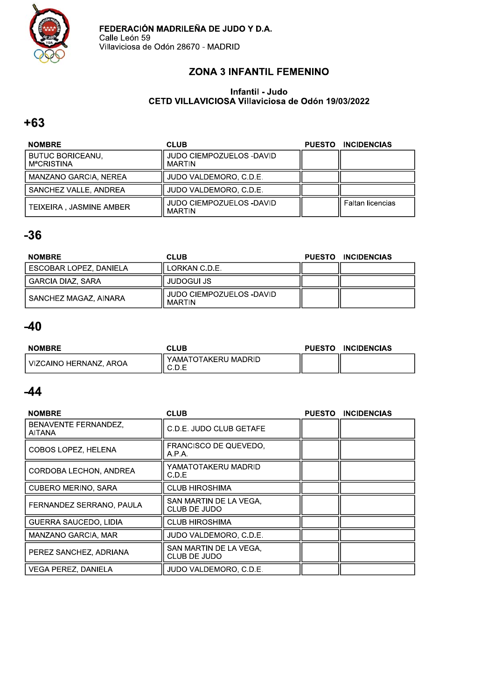

### **ZONA 3 INFANTIL FEMENINO**

#### Infantil - Judo CETD VILLAVICIOSA Villaviciosa de Odón 19/03/2022

### $+63$

| <b>NOMBRE</b>                         | CLUB                                      | <b>PUESTO</b> | <b>INCIDENCIAS</b>      |
|---------------------------------------|-------------------------------------------|---------------|-------------------------|
| <b>BUTUC BORICEANU,</b><br>MªCRISTINA | JUDO CIEMPOZUELOS -DAVID<br><b>MARTIN</b> |               |                         |
| MANZANO GARCIA, NEREA                 | JUDO VALDEMORO, C.D.E.                    |               |                         |
| SANCHEZ VALLE, ANDREA                 | JUDO VALDEMORO, C.D.E.                    |               |                         |
| TEIXEIRA, JASMINE AMBER               | JUDO CIEMPOZUELOS -DAVID<br><b>MARTIN</b> |               | <b>Faltan licencias</b> |

## $-36$

| <b>NOMBRE</b>            | <b>CLUB</b>                        | <b>PUESTO</b> | <b>INCIDENCIAS</b> |
|--------------------------|------------------------------------|---------------|--------------------|
| l ESCOBAR LOPEZ. DANIELA | LORKAN C.D.E.                      |               |                    |
| GARCIA DIAZ, SARA        | <b>JUDOGUI JS</b>                  |               |                    |
| SANCHEZ MAGAZ, AINARA    | JUDO CIEMPOZUELOS -DAVID<br>MARTIN |               |                    |

## $-40$

| <b>NOMBRE</b>          | <b>CLUB</b>                  | <b>PUESTO</b> | <b>INCIDENCIAS</b> |
|------------------------|------------------------------|---------------|--------------------|
| VIZCAINO HERNANZ, AROA | YAMATOTAKERU MADRID<br>◡.◡.∟ |               |                    |

| <b>NOMBRE</b>                         | <b>CLUB</b>                            | <b>PUESTO</b> | <b>INCIDENCIAS</b> |
|---------------------------------------|----------------------------------------|---------------|--------------------|
| BENAVENTE FERNANDEZ.<br><b>AITANA</b> | C.D.E. JUDO CLUB GETAFE                |               |                    |
| COBOS LOPEZ, HELENA                   | <b>FRANCISCO DE QUEVEDO.</b><br>A.P.A. |               |                    |
| CORDOBA LECHON, ANDREA                | YAMATOTAKERU MADRID<br>C.D.E           |               |                    |
| <b>CUBERO MERINO, SARA</b>            | <b>CLUB HIROSHIMA</b>                  |               |                    |
| FERNANDEZ SERRANO, PAULA              | SAN MARTIN DE LA VEGA.<br>CLUB DE JUDO |               |                    |
| <b>GUERRA SAUCEDO, LIDIA</b>          | <b>CLUB HIROSHIMA</b>                  |               |                    |
| MANZANO GARCIA, MAR                   | JUDO VALDEMORO, C.D.E.                 |               |                    |
| PEREZ SANCHEZ, ADRIANA                | SAN MARTIN DE LA VEGA.<br>CLUB DE JUDO |               |                    |
| <b>VEGA PEREZ, DANIELA</b>            | JUDO VALDEMORO, C.D.E.                 |               |                    |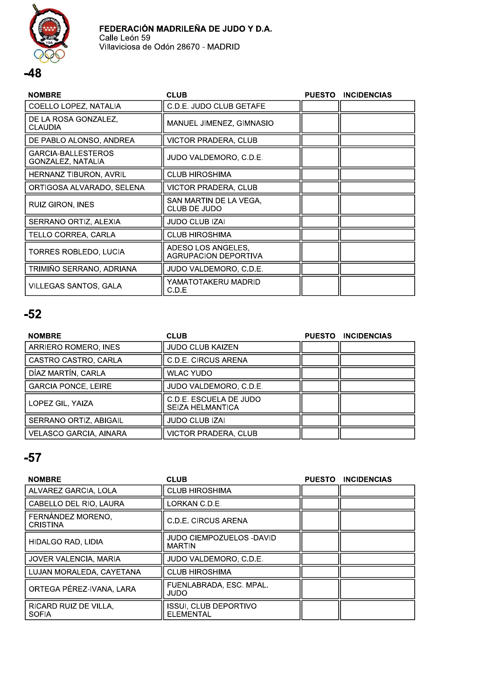

| <b>NOMBRE</b>                           | <b>CLUB</b>                                       | <b>PUESTO</b> | <b>INCIDENCIAS</b> |
|-----------------------------------------|---------------------------------------------------|---------------|--------------------|
| COELLO LOPEZ, NATALIA                   | C.D.E. JUDO CLUB GETAFE                           |               |                    |
| DE LA ROSA GONZALEZ,<br><b>CLAUDIA</b>  | MANUEL JIMENEZ, GIMNASIO                          |               |                    |
| DE PABLO ALONSO. ANDREA                 | VICTOR PRADERA, CLUB                              |               |                    |
| GARCIA-BALLESTEROS<br>GONZALEZ, NATALIA | JUDO VALDEMORO, C.D.E.                            |               |                    |
| HERNANZ TIBURON, AVRIL                  | <b>CLUB HIROSHIMA</b>                             |               |                    |
| ORTIGOSA ALVARADO, SELENA               | <b>VICTOR PRADERA, CLUB</b>                       |               |                    |
| RUIZ GIRON, INES                        | SAN MARTIN DE LA VEGA.<br>CLUB DE JUDO            |               |                    |
| SERRANO ORTIZ, ALEXIA                   | <b>JUDO CLUB IZAI</b>                             |               |                    |
| TELLO CORREA, CARLA                     | <b>CLUB HIROSHIMA</b>                             |               |                    |
| TORRES ROBLEDO, LUCIA                   | ADESO LOS ANGELES,<br><b>AGRUPACION DEPORTIVA</b> |               |                    |
| TRIMIÑO SERRANO, ADRIANA                | JUDO VALDEMORO, C.D.E.                            |               |                    |
| VILLEGAS SANTOS, GALA                   | YAMATOTAKERU MADRID<br>C.D.E                      |               |                    |

# $-52$

| <b>NOMBRE</b>              | <b>CLUB</b>                                       | <b>PUESTO</b> | <b>INCIDENCIAS</b> |
|----------------------------|---------------------------------------------------|---------------|--------------------|
| ARRIERO ROMERO, INES       | <b>JUDO CLUB KAIZEN</b>                           |               |                    |
| CASTRO CASTRO, CARLA       | C.D.E. CIRCUS ARENA                               |               |                    |
| DÍAZ MARTÍN, CARLA         | <b>WLAC YUDO</b>                                  |               |                    |
| <b>GARCIA PONCE, LEIRE</b> | JUDO VALDEMORO, C.D.E.                            |               |                    |
| LOPEZ GIL, YAIZA           | C.D.E. ESCUELA DE JUDO<br><b>SEIZA HELMANTICA</b> |               |                    |
| SERRANO ORTIZ, ABIGAIL     | <b>JUDO CLUB IZAI</b>                             |               |                    |
| VELASCO GARCIA, AINARA     | VICTOR PRADERA, CLUB                              |               |                    |

| <b>NOMBRE</b>                         | <b>CLUB</b>                                      | <b>PUESTO</b> | <b>INCIDENCIAS</b> |
|---------------------------------------|--------------------------------------------------|---------------|--------------------|
| ALVAREZ GARCIA, LOLA                  | <b>CLUB HIROSHIMA</b>                            |               |                    |
| CABELLO DEL RIO, LAURA                | LORKAN C.D.E.                                    |               |                    |
| FERNANDEZ MORENO.<br><b>CRISTINA</b>  | C.D.E. CIRCUS ARENA                              |               |                    |
| HIDALGO RAD, LIDIA                    | JUDO CIEMPOZUELOS -DAVID<br><b>MARTIN</b>        |               |                    |
| JOVER VALENCIA, MARIA                 | JUDO VALDEMORO, C.D.E.                           |               |                    |
| LUJAN MORALEDA, CAYETANA              | <b>CLUB HIROSHIMA</b>                            |               |                    |
| ORTEGA PÉREZ-IVANA, LARA              | FUENLABRADA, ESC. MPAL.<br>JUDO                  |               |                    |
| RICARD RUIZ DE VILLA,<br><b>SOFIA</b> | <b>ISSUI. CLUB DEPORTIVO</b><br><b>ELEMENTAL</b> |               |                    |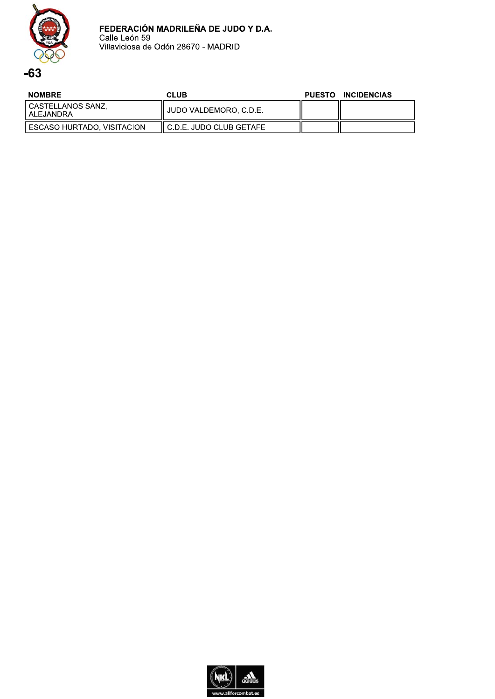

| <b>NOMBRE</b>                  | <b>CLUB</b>                | PUESTO INCIDENCIAS |
|--------------------------------|----------------------------|--------------------|
| CASTELLANOS SANZ.<br>ALEJANDRA | JUDO VALDEMORO. C.D.E.     |                    |
| ESCASO HURTADO, VISITACION     | II C.D.E. JUDO CLUB GETAFE |                    |

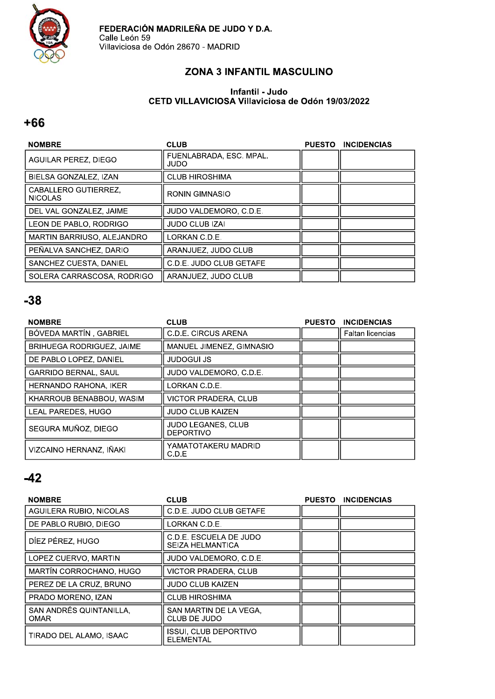

### **ZONA 3 INFANTIL MASCULINO**

#### Infantil - Judo CETD VILLAVICIOSA Villaviciosa de Odón 19/03/2022

### $+66$

| <b>NOMBRE</b>                          | <b>CLUB</b>                       | <b>PUESTO</b> | <b>INCIDENCIAS</b> |
|----------------------------------------|-----------------------------------|---------------|--------------------|
| AGUILAR PEREZ, DIEGO                   | FUENLABRADA, ESC. MPAL.<br>OCIUL. |               |                    |
| BIELSA GONZALEZ, IZAN                  | <b>CLUB HIROSHIMA</b>             |               |                    |
| CABALLERO GUTIERREZ.<br><b>NICOLAS</b> | <b>RONIN GIMNASIO</b>             |               |                    |
| DEL VAL GONZALEZ, JAIME                | JUDO VALDEMORO, C.D.E.            |               |                    |
| LEON DE PABLO, RODRIGO                 | JUDO CLUB IZAI                    |               |                    |
| MARTIN BARRIUSO, ALEJANDRO             | LORKAN C.D.E.                     |               |                    |
| PEÑALVA SANCHEZ, DARIO                 | ARANJUEZ, JUDO CLUB               |               |                    |
| SANCHEZ CUESTA, DANIEL                 | C.D.E. JUDO CLUB GETAFE           |               |                    |
| SOLERA CARRASCOSA, RODRIGO             | ARANJUEZ, JUDO CLUB               |               |                    |

### $-38$

| <b>NOMBRE</b>                    | <b>CLUB</b>                                   | <b>PUESTO</b> | <b>INCIDENCIAS</b>      |
|----------------------------------|-----------------------------------------------|---------------|-------------------------|
| BÓVEDA MARTÍN, GABRIEL           | <b>C.D.E. CIRCUS ARENA</b>                    |               | <b>Faltan licencias</b> |
| <b>BRIHUEGA RODRIGUEZ, JAIME</b> | MANUEL JIMENEZ, GIMNASIO                      |               |                         |
| DE PABLO LOPEZ, DANIEL           | <b>JUDOGUI JS</b>                             |               |                         |
| <b>GARRIDO BERNAL, SAUL</b>      | JUDO VALDEMORO, C.D.E.                        |               |                         |
| HERNANDO RAHONA, IKER            | LORKAN C.D.E.                                 |               |                         |
| KHARROUB BENABBOU, WASIM         | <b>VICTOR PRADERA, CLUB</b>                   |               |                         |
| LEAL PAREDES, HUGO               | <b>JUDO CLUB KAIZEN</b>                       |               |                         |
| SEGURA MUÑOZ, DIEGO              | <b>JUDO LEGANES, CLUB</b><br><b>DEPORTIVO</b> |               |                         |
| VIZCAINO HERNANZ, IÑAKI          | YAMATOTAKERU MADRID<br>C.D.E                  |               |                         |

| <b>NOMBRE</b>                          | <b>CLUB</b>                                       | PUESTO INCIDENCIAS |
|----------------------------------------|---------------------------------------------------|--------------------|
| AGUILERA RUBIO, NICOLAS                | C.D.E. JUDO CLUB GETAFE                           |                    |
| DE PABLO RUBIO, DIEGO                  | LORKAN C.D.E.                                     |                    |
| DÍEZ PÉREZ, HUGO                       | C.D.E. ESCUELA DE JUDO<br><b>SEIZA HELMANTICA</b> |                    |
| LOPEZ CUERVO, MARTIN                   | JUDO VALDEMORO, C.D.E.                            |                    |
| MARTÍN CORROCHANO, HUGO                | VICTOR PRADERA, CLUB                              |                    |
| PEREZ DE LA CRUZ. BRUNO                | <b>JUDO CLUB KAIZEN</b>                           |                    |
| PRADO MORENO, IZAN                     | <b>CLUB HIROSHIMA</b>                             |                    |
| SAN ANDRÉS QUINTANILLA,<br><b>OMAR</b> | SAN MARTIN DE LA VEGA.<br>CLUB DE JUDO            |                    |
| TIRADO DEL ALAMO, ISAAC                | <b>ISSUI, CLUB DEPORTIVO</b><br><b>ELEMENTAL</b>  |                    |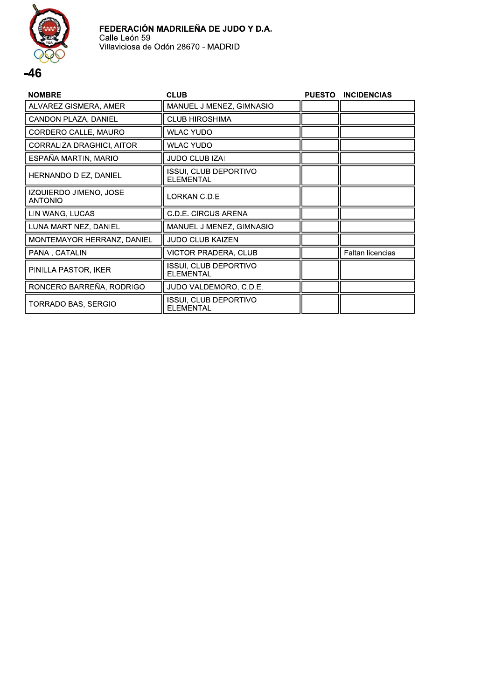

#### **NOMBRE CLUB** PUESTO INCIDENCIAS ALVAREZ GISMERA, AMER MANUEL JIMENEZ, GIMNASIO CANDON PLAZA, DANIEL **CLUB HIROSHIMA** CORDERO CALLE, MAURO **WLAC YUDO** CORRALIZA DRAGHICI, AITOR **WLAC YUDO** ESPAÑA MARTIN, MARIO JUDO CLUB IZAI **ISSUI, CLUB DEPORTIVO** HERNANDO DIEZ, DANIEL **ELEMENTAL** IZQUIERDO JIMENO, JOSE LORKAN C.D.E. **ANTONIO** LIN WANG, LUCAS C.D.E. CIRCUS ARENA LUNA MARTINEZ, DANIEL MANUEL JIMENEZ, GIMNASIO MONTEMAYOR HERRANZ, DANIEL **JUDO CLUB KAIZEN** PANA, CATALIN **VICTOR PRADERA, CLUB** Faltan licencias **ISSUI, CLUB DEPORTIVO** PINILLA PASTOR, IKER **ELEMENTAL** RONCERO BARREÑA, RODRIGO JUDO VALDEMORO, C.D.E. ISSUI, CLUB DEPORTIVO TORRADO BAS, SERGIO **ELEMENTAL**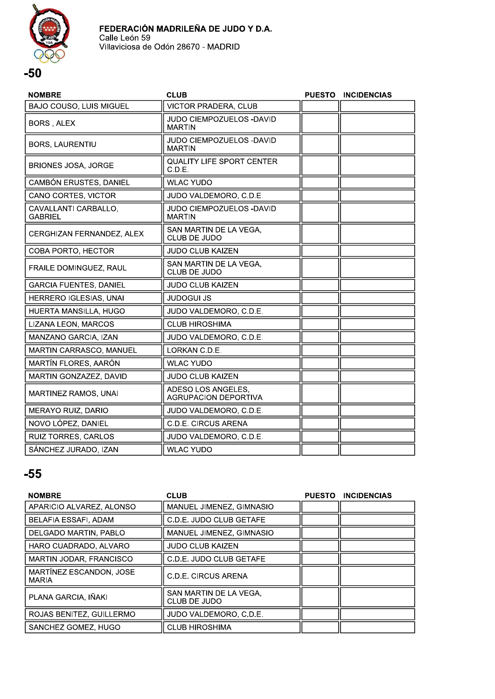

| <b>NOMBRE</b>                          | <b>CLUB</b>                                       | <b>PUESTO</b> | <b>INCIDENCIAS</b> |
|----------------------------------------|---------------------------------------------------|---------------|--------------------|
| <b>BAJO COUSO, LUIS MIGUEL</b>         | <b>VICTOR PRADERA, CLUB</b>                       |               |                    |
| BORS, ALEX                             | JUDO CIEMPOZUELOS - DAVID<br><b>MARTIN</b>        |               |                    |
| <b>BORS, LAURENTIU</b>                 | JUDO CIEMPOZUELOS -DAVID<br><b>MARTIN</b>         |               |                    |
| <b>BRIONES JOSA, JORGE</b>             | <b>QUALITY LIFE SPORT CENTER</b><br>C.D.E.        |               |                    |
| CAMBÓN ERUSTES, DANIEL                 | <b>WLAC YUDO</b>                                  |               |                    |
| CANO CORTES, VICTOR                    | JUDO VALDEMORO, C.D.E.                            |               |                    |
| CAVALLANTI CARBALLO,<br><b>GABRIEL</b> | JUDO CIEMPOZUELOS -DAVID<br><b>MARTIN</b>         |               |                    |
| CERGHIZAN FERNANDEZ, ALEX              | SAN MARTIN DE LA VEGA,<br>CLUB DE JUDO            |               |                    |
| COBA PORTO, HECTOR                     | <b>JUDO CLUB KAIZEN</b>                           |               |                    |
| FRAILE DOMINGUEZ, RAUL                 | SAN MARTIN DE LA VEGA,<br>CLUB DE JUDO            |               |                    |
| <b>GARCIA FUENTES, DANIEL</b>          | <b>JUDO CLUB KAIZEN</b>                           |               |                    |
| HERRERO IGLESIAS, UNAI                 | <b>JUDOGUI JS</b>                                 |               |                    |
| HUERTA MANSILLA, HUGO                  | JUDO VALDEMORO, C.D.E.                            |               |                    |
| LIZANA LEON, MARCOS                    | <b>CLUB HIROSHIMA</b>                             |               |                    |
| MANZANO GARCIA, IZAN                   | JUDO VALDEMORO, C.D.E.                            |               |                    |
| MARTIN CARRASCO, MANUEL                | LORKAN C.D.E.                                     |               |                    |
| MARTÍN FLORES, AARÓN                   | <b>WLAC YUDO</b>                                  |               |                    |
| MARTIN GONZAZEZ, DAVID                 | <b>JUDO CLUB KAIZEN</b>                           |               |                    |
| <b>MARTINEZ RAMOS, UNAI</b>            | ADESO LOS ANGELES,<br><b>AGRUPACION DEPORTIVA</b> |               |                    |
| <b>MERAYO RUIZ, DARIO</b>              | JUDO VALDEMORO, C.D.E.                            |               |                    |
| NOVO LÓPEZ, DANIEL                     | <b>C.D.E. CIRCUS ARENA</b>                        |               |                    |
| RUIZ TORRES, CARLOS                    | JUDO VALDEMORO, C.D.E.                            |               |                    |
| SÁNCHEZ JURADO, IZAN                   | <b>WLAC YUDO</b>                                  |               |                    |

| <b>NOMBRE</b>                           | <b>CLUB</b>                            | PUESTO INCIDENCIAS |
|-----------------------------------------|----------------------------------------|--------------------|
| APARICIO ALVAREZ, ALONSO                | MANUEL JIMENEZ, GIMNASIO               |                    |
| <b>BELAFIA ESSAFI, ADAM</b>             | C.D.E. JUDO CLUB GETAFE                |                    |
| <b>DELGADO MARTIN, PABLO</b>            | MANUEL JIMENEZ, GIMNASIO               |                    |
| HARO CUADRADO, ALVARO                   | <b>JUDO CLUB KAIZEN</b>                |                    |
| <b>MARTIN JODAR, FRANCISCO</b>          | C.D.E. JUDO CLUB GETAFE                |                    |
| MARTÍNEZ ESCANDON, JOSE<br><b>MARIA</b> | C.D.E. CIRCUS ARENA                    |                    |
| PLANA GARCIA. IÑAKI                     | SAN MARTIN DE LA VEGA.<br>CLUB DE JUDO |                    |
| ROJAS BENITEZ, GUILLERMO                | JUDO VALDEMORO, C.D.E.                 |                    |
| SANCHEZ GOMEZ, HUGO                     | <b>CLUB HIROSHIMA</b>                  |                    |